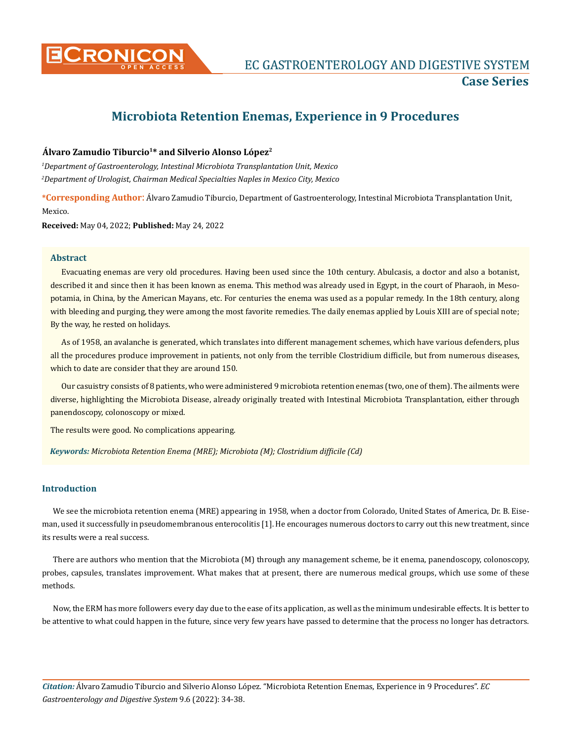

# **Microbiota Retention Enemas, Experience in 9 Procedures**

# **Álvaro Zamudio Tiburcio1\* and Silverio Alonso López2**

*1 Department of Gastroenterology, Intestinal Microbiota Transplantation Unit, Mexico 2 Department of Urologist, Chairman Medical Specialties Naples in Mexico City, Mexico*

**\*Corresponding Author**: Álvaro Zamudio Tiburcio, Department of Gastroenterology, Intestinal Microbiota Transplantation Unit, Mexico.

**Received:** May 04, 2022; **Published:** May 24, 2022

# **Abstract**

Evacuating enemas are very old procedures. Having been used since the 10th century. Abulcasis, a doctor and also a botanist, described it and since then it has been known as enema. This method was already used in Egypt, in the court of Pharaoh, in Mesopotamia, in China, by the American Mayans, etc. For centuries the enema was used as a popular remedy. In the 18th century, along with bleeding and purging, they were among the most favorite remedies. The daily enemas applied by Louis XIII are of special note; By the way, he rested on holidays.

As of 1958, an avalanche is generated, which translates into different management schemes, which have various defenders, plus all the procedures produce improvement in patients, not only from the terrible Clostridium difficile, but from numerous diseases, which to date are consider that they are around 150.

Our casuistry consists of 8 patients, who were administered 9 microbiota retention enemas (two, one of them). The ailments were diverse, highlighting the Microbiota Disease, already originally treated with Intestinal Microbiota Transplantation, either through panendoscopy, colonoscopy or mixed.

The results were good. No complications appearing.

*Keywords: Microbiota Retention Enema (MRE); Microbiota (M); Clostridium difficile (Cd)*

# **Introduction**

We see the microbiota retention enema (MRE) appearing in 1958, when a doctor from Colorado, United States of America, Dr. B. Eiseman, used it successfully in pseudomembranous enterocolitis [1]. He encourages numerous doctors to carry out this new treatment, since its results were a real success.

There are authors who mention that the Microbiota (M) through any management scheme, be it enema, panendoscopy, colonoscopy, probes, capsules, translates improvement. What makes that at present, there are numerous medical groups, which use some of these methods.

Now, the ERM has more followers every day due to the ease of its application, as well as the minimum undesirable effects. It is better to be attentive to what could happen in the future, since very few years have passed to determine that the process no longer has detractors.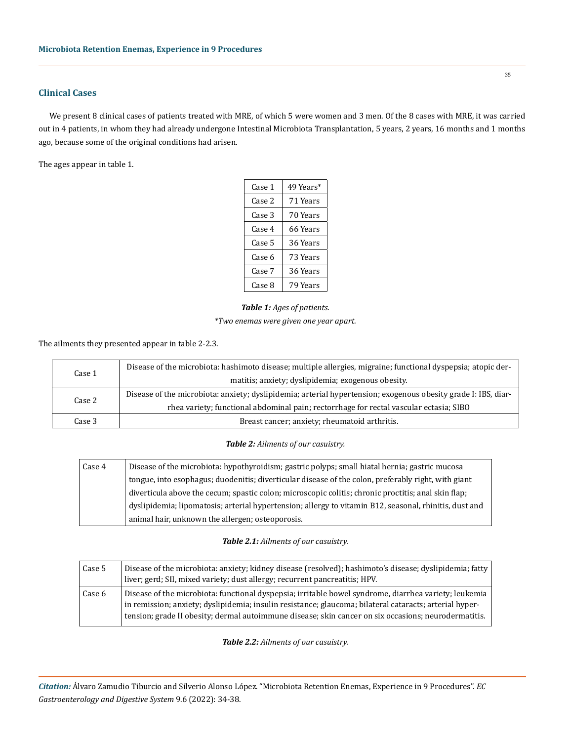# **Clinical Cases**

We present 8 clinical cases of patients treated with MRE, of which 5 were women and 3 men. Of the 8 cases with MRE, it was carried out in 4 patients, in whom they had already undergone Intestinal Microbiota Transplantation, 5 years, 2 years, 16 months and 1 months ago, because some of the original conditions had arisen.

The ages appear in table 1.

| Case 1 | 49 Years* |
|--------|-----------|
| Case 2 | 71 Years  |
| Case 3 | 70 Years  |
| Case 4 | 66 Years  |
| Case 5 | 36 Years  |
| Case 6 | 73 Years  |
| Case 7 | 36 Years  |
| Case 8 | 79 Years  |

# *Table 1: Ages of patients. \*Two enemas were given one year apart.*

The ailments they presented appear in table 2-2.3.

| Case 1  | Disease of the microbiota: hashimoto disease; multiple allergies, migraine; functional dyspepsia; atopic der-  |
|---------|----------------------------------------------------------------------------------------------------------------|
|         | matitis; anxiety; dyslipidemia; exogenous obesity.                                                             |
| Case 2  | Disease of the microbiota: anxiety; dyslipidemia; arterial hypertension; exogenous obesity grade I: IBS, diar- |
|         | rhea variety; functional abdominal pain; rectorrhage for rectal vascular ectasia; SIBO                         |
| Case 3. | Breast cancer; anxiety; rheumatoid arthritis.                                                                  |

#### *Table 2: Ailments of our casuistry.*

| Case 4 | Disease of the microbiota: hypothyroidism; gastric polyps; small hiatal hernia; gastric mucosa         |
|--------|--------------------------------------------------------------------------------------------------------|
|        | tongue, into esophagus; duodenitis; diverticular disease of the colon, preferably right, with giant    |
|        | diverticula above the cecum; spastic colon; microscopic colitis; chronic proctitis; anal skin flap;    |
|        | dyslipidemia; lipomatosis; arterial hypertension; allergy to vitamin B12, seasonal, rhinitis, dust and |
|        | animal hair, unknown the allergen; osteoporosis.                                                       |

# *Table 2.1: Ailments of our casuistry.*

| Case 5 | Disease of the microbiota: anxiety; kidney disease (resolved); hashimoto's disease; dyslipidemia; fatty<br>liver; gerd; SII, mixed variety; dust allergy; recurrent pancreatitis; HPV.                                                                                                                                   |
|--------|--------------------------------------------------------------------------------------------------------------------------------------------------------------------------------------------------------------------------------------------------------------------------------------------------------------------------|
| Case 6 | Disease of the microbiota: functional dyspepsia; irritable bowel syndrome, diarrhea variety; leukemia<br>in remission; anxiety; dyslipidemia; insulin resistance; glaucoma; bilateral cataracts; arterial hyper-<br>tension; grade II obesity; dermal autoimmune disease; skin cancer on six occasions; neurodermatitis. |

*Table 2.2: Ailments of our casuistry.*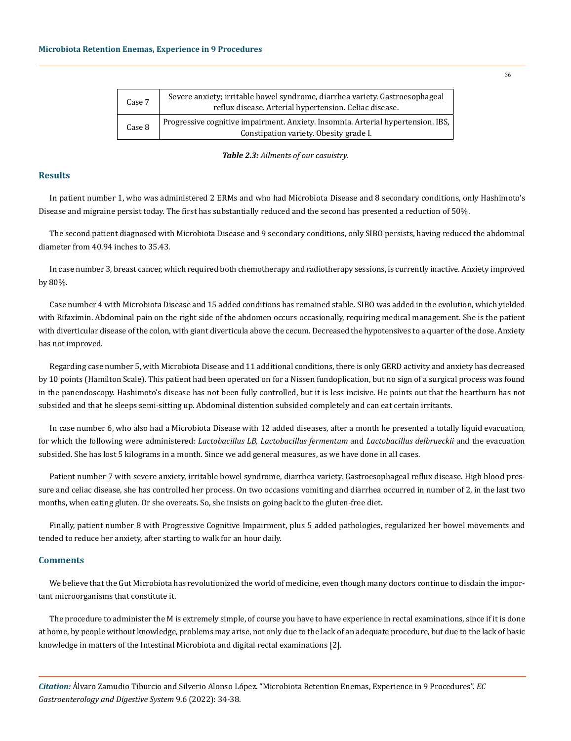| Case 7 | Severe anxiety; irritable bowel syndrome, diarrhea variety. Gastroesophageal<br>reflux disease. Arterial hypertension. Celiac disease. |
|--------|----------------------------------------------------------------------------------------------------------------------------------------|
| Case 8 | Progressive cognitive impairment. Anxiety. Insomnia. Arterial hypertension. IBS.<br>Constipation variety. Obesity grade I.             |

*Table 2.3: Ailments of our casuistry.*

#### **Results**

In patient number 1, who was administered 2 ERMs and who had Microbiota Disease and 8 secondary conditions, only Hashimoto's Disease and migraine persist today. The first has substantially reduced and the second has presented a reduction of 50%.

The second patient diagnosed with Microbiota Disease and 9 secondary conditions, only SIBO persists, having reduced the abdominal diameter from 40.94 inches to 35.43.

In case number 3, breast cancer, which required both chemotherapy and radiotherapy sessions, is currently inactive. Anxiety improved by 80%.

Case number 4 with Microbiota Disease and 15 added conditions has remained stable. SIBO was added in the evolution, which yielded with Rifaximin. Abdominal pain on the right side of the abdomen occurs occasionally, requiring medical management. She is the patient with diverticular disease of the colon, with giant diverticula above the cecum. Decreased the hypotensives to a quarter of the dose. Anxiety has not improved.

Regarding case number 5, with Microbiota Disease and 11 additional conditions, there is only GERD activity and anxiety has decreased by 10 points (Hamilton Scale). This patient had been operated on for a Nissen fundoplication, but no sign of a surgical process was found in the panendoscopy. Hashimoto's disease has not been fully controlled, but it is less incisive. He points out that the heartburn has not subsided and that he sleeps semi-sitting up. Abdominal distention subsided completely and can eat certain irritants.

In case number 6, who also had a Microbiota Disease with 12 added diseases, after a month he presented a totally liquid evacuation, for which the following were administered: *Lactobacillus LB, Lactobacillus fermentum* and *Lactobacillus delbrueckii* and the evacuation subsided. She has lost 5 kilograms in a month. Since we add general measures, as we have done in all cases.

Patient number 7 with severe anxiety, irritable bowel syndrome, diarrhea variety. Gastroesophageal reflux disease. High blood pressure and celiac disease, she has controlled her process. On two occasions vomiting and diarrhea occurred in number of 2, in the last two months, when eating gluten. Or she overeats. So, she insists on going back to the gluten-free diet.

Finally, patient number 8 with Progressive Cognitive Impairment, plus 5 added pathologies, regularized her bowel movements and tended to reduce her anxiety, after starting to walk for an hour daily.

#### **Comments**

We believe that the Gut Microbiota has revolutionized the world of medicine, even though many doctors continue to disdain the important microorganisms that constitute it.

The procedure to administer the M is extremely simple, of course you have to have experience in rectal examinations, since if it is done at home, by people without knowledge, problems may arise, not only due to the lack of an adequate procedure, but due to the lack of basic knowledge in matters of the Intestinal Microbiota and digital rectal examinations [2].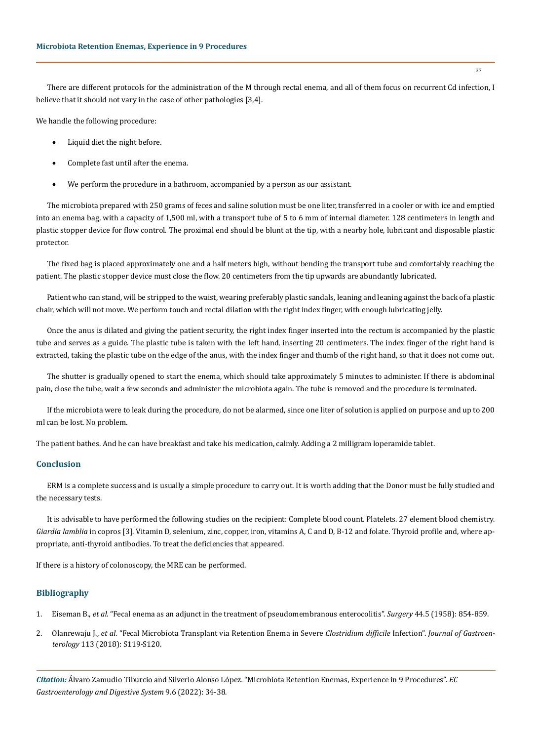There are different protocols for the administration of the M through rectal enema, and all of them focus on recurrent Cd infection, I believe that it should not vary in the case of other pathologies [3,4].

We handle the following procedure:

- Liquid diet the night before.
- Complete fast until after the enema.
- We perform the procedure in a bathroom, accompanied by a person as our assistant.

The microbiota prepared with 250 grams of feces and saline solution must be one liter, transferred in a cooler or with ice and emptied into an enema bag, with a capacity of 1,500 ml, with a transport tube of 5 to 6 mm of internal diameter. 128 centimeters in length and plastic stopper device for flow control. The proximal end should be blunt at the tip, with a nearby hole, lubricant and disposable plastic protector.

The fixed bag is placed approximately one and a half meters high, without bending the transport tube and comfortably reaching the patient. The plastic stopper device must close the flow. 20 centimeters from the tip upwards are abundantly lubricated.

Patient who can stand, will be stripped to the waist, wearing preferably plastic sandals, leaning and leaning against the back of a plastic chair, which will not move. We perform touch and rectal dilation with the right index finger, with enough lubricating jelly.

Once the anus is dilated and giving the patient security, the right index finger inserted into the rectum is accompanied by the plastic tube and serves as a guide. The plastic tube is taken with the left hand, inserting 20 centimeters. The index finger of the right hand is extracted, taking the plastic tube on the edge of the anus, with the index finger and thumb of the right hand, so that it does not come out.

The shutter is gradually opened to start the enema, which should take approximately 5 minutes to administer. If there is abdominal pain, close the tube, wait a few seconds and administer the microbiota again. The tube is removed and the procedure is terminated.

If the microbiota were to leak during the procedure, do not be alarmed, since one liter of solution is applied on purpose and up to 200 ml can be lost. No problem.

The patient bathes. And he can have breakfast and take his medication, calmly. Adding a 2 milligram loperamide tablet.

# **Conclusion**

ERM is a complete success and is usually a simple procedure to carry out. It is worth adding that the Donor must be fully studied and the necessary tests.

It is advisable to have performed the following studies on the recipient: Complete blood count. Platelets. 27 element blood chemistry. *Giardia lamblia* in copros [3]. Vitamin D, selenium, zinc, copper, iron, vitamins A, C and D, B-12 and folate. Thyroid profile and, where appropriate, anti-thyroid antibodies. To treat the deficiencies that appeared.

If there is a history of colonoscopy, the MRE can be performed.

# **Bibliography**

- 1. Eiseman B., *et al*[. "Fecal enema as an adjunct in the treatment of pseudomembranous enterocolitis".](https://pubmed.ncbi.nlm.nih.gov/13592638/) *Surgery* 44.5 (1958): 854-859.
- 2. Olanrewaju J., *et al*[. "Fecal Microbiota Transplant via Retention Enema in Severe](https://journals.lww.com/ajg/fulltext/2018/10001/fecal_microbiota_transplant_via_retention_enema_in.203.aspx) *Clostridium difficile* Infection". *Journal of Gastroenterology* [113 \(2018\): S119-S120.](https://journals.lww.com/ajg/fulltext/2018/10001/fecal_microbiota_transplant_via_retention_enema_in.203.aspx)